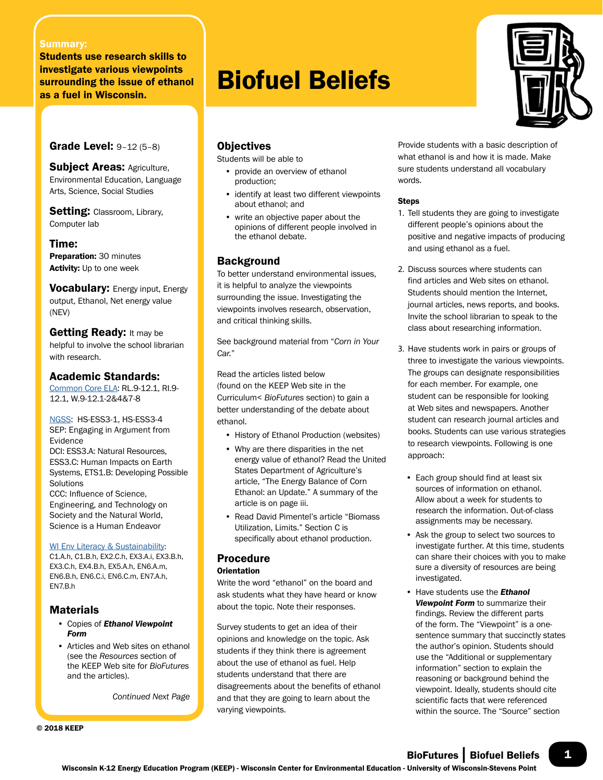#### Summary:

Students use research skills to investigate various viewpoints surrounding the issue of ethanol as a fuel in Wisconsin.

Grade Level: 9–12 (5–8)

Subject Areas: Agriculture, Environmental Education, Language Arts, Science, Social Studies

Setting: Classroom, Library, Computer lab

Time:

Preparation: 30 minutes Activity: Up to one week

**Vocabulary:** Energy input, Energy output, Ethanol, Net energy value (NEV)

Getting Ready: It may be helpful to involve the school librarian with research.

#### Academic Standards:

Common Core ELA: RL.9-12.1, RI.9- 12.1, W.9-12.1-2&4&7-8

NGSS: HS-ESS3-1, HS-ESS3-4 SEP: Engaging in Argument from Evidence DCI: ESS3.A: Natural Resources, ESS3.C: Human Impacts on Earth Systems, ETS1.B: Developing Possible **Solutions** CCC: Influence of Science, Engineering, and Technology on Society and the Natural World, Science is a Human Endeavor

#### WI Env Literacy & Sustainability:

C1.A.h, C1.B.h, EX2.C.h, EX3.A.i, EX3.B.h, EX3.C.h, EX4.B.h, EX5.A.h, EN6.A.m, EN6.B.h, EN6.C.i, EN6.C.m, EN7.A.h, EN7.B.h

#### Materials

- Copies of *Ethanol Viewpoint Form*
- Articles and Web sites on ethanol (see the *Resources* section of the KEEP Web site for *BioFutures* and the articles).

*Continued Next Page*

© 2018 KEEP

# Biofuel Beliefs



Students will be able to

- provide an overview of ethanol production;
- identify at least two different viewpoints about ethanol; and
- write an objective paper about the opinions of different people involved in the ethanol debate.

#### **Background**

To better understand environmental issues, it is helpful to analyze the viewpoints surrounding the issue. Investigating the viewpoints involves research, observation, and critical thinking skills.

See background material from "*Corn in Your Car.*"

Read the articles listed below (found on the KEEP Web site in the Curriculum< *BioFutures* section) to gain a better understanding of the debate about ethanol.

- History of Ethanol Production (websites)
- Why are there disparities in the net energy value of ethanol? Read the United States Department of Agriculture's article, "The Energy Balance of Corn Ethanol: an Update." A summary of the article is on page iii.
- Read David Pimentel's article "Biomass Utilization, Limits." Section C is specifically about ethanol production.

## Procedure

#### **Orientation**

Write the word "ethanol" on the board and ask students what they have heard or know about the topic. Note their responses.

Survey students to get an idea of their opinions and knowledge on the topic. Ask students if they think there is agreement about the use of ethanol as fuel. Help students understand that there are disagreements about the benefits of ethanol and that they are going to learn about the varying viewpoints.

Provide students with a basic description of what ethanol is and how it is made. Make sure students understand all vocabulary words.

#### **Steps**

- 1. Tell students they are going to investigate different people's opinions about the positive and negative impacts of producing and using ethanol as a fuel.
- 2. Discuss sources where students can find articles and Web sites on ethanol. Students should mention the Internet, journal articles, news reports, and books. Invite the school librarian to speak to the class about researching information.
- 3. Have students work in pairs or groups of three to investigate the various viewpoints. The groups can designate responsibilities for each member. For example, one student can be responsible for looking at Web sites and newspapers. Another student can research journal articles and books. Students can use various strategies to research viewpoints. Following is one approach:
	- Each group should find at least six sources of information on ethanol. Allow about a week for students to research the information. Out-of-class assignments may be necessary.
	- Ask the group to select two sources to investigate further. At this time, students can share their choices with you to make sure a diversity of resources are being investigated.
	- Have students use the *Ethanol Viewpoint Form* to summarize their findings. Review the different parts of the form. The "Viewpoint" is a onesentence summary that succinctly states the author's opinion. Students should use the "Additional or supplementary information" section to explain the reasoning or background behind the viewpoint. Ideally, students should cite scientific facts that were referenced within the source. The "Source" section

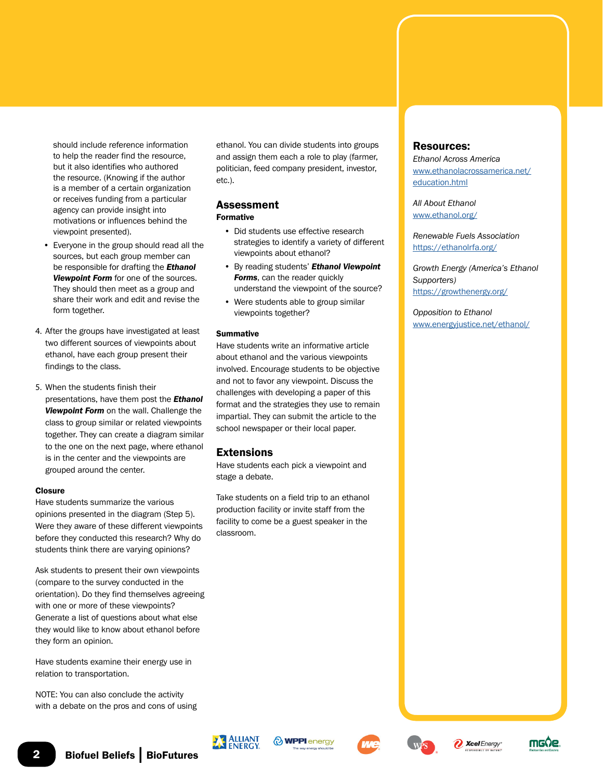should include reference information to help the reader find the resource, but it also identifies who authored the resource. (Knowing if the author is a member of a certain organization or receives funding from a particular agency can provide insight into motivations or influences behind the viewpoint presented).

- Everyone in the group should read all the sources, but each group member can be responsible for drafting the *Ethanol Viewpoint Form* for one of the sources. They should then meet as a group and share their work and edit and revise the form together.
- 4. After the groups have investigated at least two different sources of viewpoints about ethanol, have each group present their findings to the class.
- 5. When the students finish their presentations, have them post the *Ethanol Viewpoint Form* on the wall. Challenge the class to group similar or related viewpoints together. They can create a diagram similar to the one on the next page, where ethanol is in the center and the viewpoints are grouped around the center.

#### Closure

Have students summarize the various opinions presented in the diagram (Step 5). Were they aware of these different viewpoints before they conducted this research? Why do students think there are varying opinions?

Ask students to present their own viewpoints (compare to the survey conducted in the orientation). Do they find themselves agreeing with one or more of these viewpoints? Generate a list of questions about what else they would like to know about ethanol before they form an opinion.

Have students examine their energy use in relation to transportation.

NOTE: You can also conclude the activity with a debate on the pros and cons of using ethanol. You can divide students into groups and assign them each a role to play (farmer, politician, feed company president, investor, etc.).

#### Assessment Formative

- Did students use effective research strategies to identify a variety of different viewpoints about ethanol?
- By reading students' *Ethanol Viewpoint Forms*, can the reader quickly understand the viewpoint of the source?
- Were students able to group similar viewpoints together?

#### **Summative**

Have students write an informative article about ethanol and the various viewpoints involved. Encourage students to be objective and not to favor any viewpoint. Discuss the challenges with developing a paper of this format and the strategies they use to remain impartial. They can submit the article to the school newspaper or their local paper.

#### Extensions

Have students each pick a viewpoint and stage a debate.

Take students on a field trip to an ethanol production facility or invite staff from the facility to come be a guest speaker in the classroom.

#### Resources:

*Ethanol Across America* [www.ethanolacrossamerica.net/](http://www.ethanolacrossamerica.net/education.html) [education.html](http://www.ethanolacrossamerica.net/education.html)

*All About Ethanol* [www.ethanol.org/](http://www.ethanol.org/)

*Renewable Fuels Association* <https://ethanolrfa.org/>

*Growth Energy (America's Ethanol Supporters)* <https://growthenergy.org/>

*Opposition to Ethanol* [www.energyjustice.net/ethanol/](http://www.energyjustice.net/ethanol/)











**Xcel** Energy\*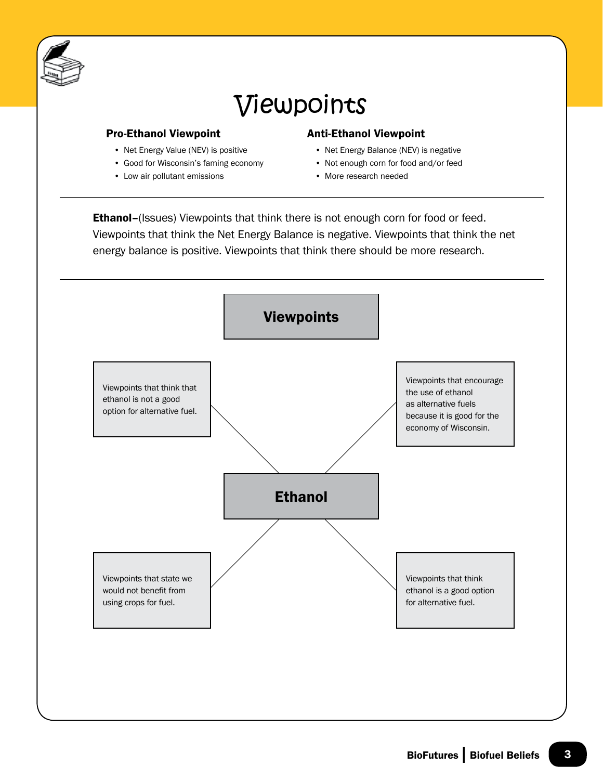

# Viewpoints

#### Pro-Ethanol Viewpoint

- Net Energy Value (NEV) is positive
- Good for Wisconsin's faming economy
- Low air pollutant emissions

### Anti-Ethanol Viewpoint

- Net Energy Balance (NEV) is negative
- Not enough corn for food and/or feed
- More research needed

Ethanol-(Issues) Viewpoints that think there is not enough corn for food or feed. Viewpoints that think the Net Energy Balance is negative. Viewpoints that think the net energy balance is positive. Viewpoints that think there should be more research.